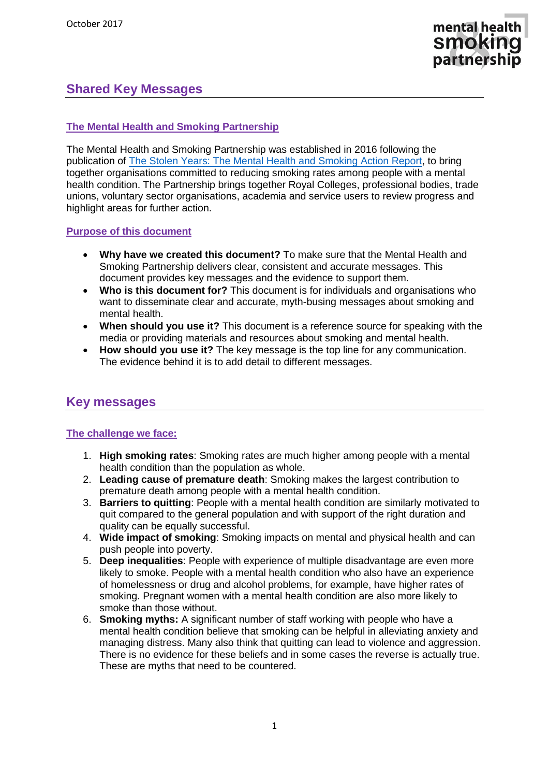

# **Shared Key Messages**

#### **The Mental Health and Smoking Partnership**

The Mental Health and Smoking Partnership was established in 2016 following the publication of [The Stolen Years: The Mental Health and Smoking Action Report,](http://ash.org.uk/information-and-resources/reports-submissions/reports/the-stolen-years/) to bring together organisations committed to reducing smoking rates among people with a mental health condition. The Partnership brings together Royal Colleges, professional bodies, trade unions, voluntary sector organisations, academia and service users to review progress and highlight areas for further action.

#### **Purpose of this document**

- **Why have we created this document?** To make sure that the Mental Health and Smoking Partnership delivers clear, consistent and accurate messages. This document provides key messages and the evidence to support them.
- **Who is this document for?** This document is for individuals and organisations who want to disseminate clear and accurate, myth-busing messages about smoking and mental health.
- **When should you use it?** This document is a reference source for speaking with the media or providing materials and resources about smoking and mental health.
- **How should you use it?** The key message is the top line for any communication. The evidence behind it is to add detail to different messages.

# **Key messages**

#### **The challenge we face:**

- 1. **High smoking rates**: Smoking rates are much higher among people with a mental health condition than the population as whole.
- 2. **Leading cause of premature death**: Smoking makes the largest contribution to premature death among people with a mental health condition.
- 3. **Barriers to quitting**: People with a mental health condition are similarly motivated to quit compared to the general population and with support of the right duration and quality can be equally successful.
- 4. **Wide impact of smoking**: Smoking impacts on mental and physical health and can push people into poverty.
- 5. **Deep inequalities**: People with experience of multiple disadvantage are even more likely to smoke. People with a mental health condition who also have an experience of homelessness or drug and alcohol problems, for example, have higher rates of smoking. Pregnant women with a mental health condition are also more likely to smoke than those without.
- 6. **Smoking myths:** A significant number of staff working with people who have a mental health condition believe that smoking can be helpful in alleviating anxiety and managing distress. Many also think that quitting can lead to violence and aggression. There is no evidence for these beliefs and in some cases the reverse is actually true. These are myths that need to be countered.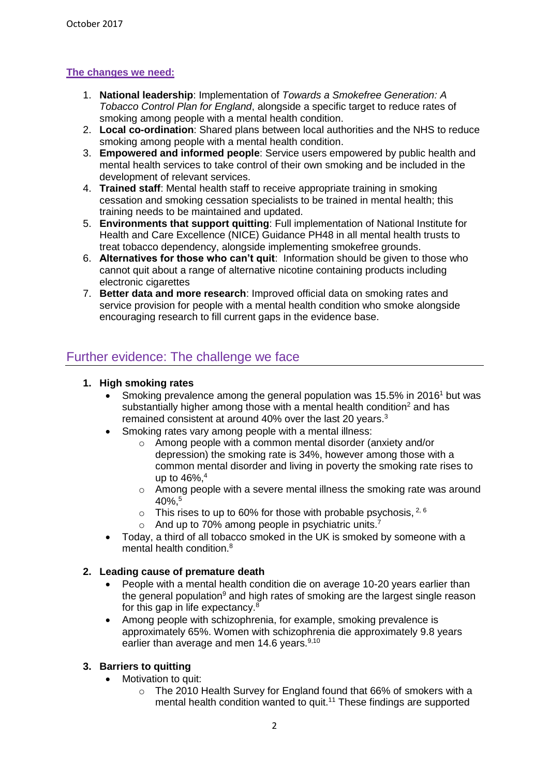# **The changes we need:**

- 1. **National leadership**: Implementation of *Towards a Smokefree Generation: A Tobacco Control Plan for England*, alongside a specific target to reduce rates of smoking among people with a mental health condition.
- 2. **Local co-ordination**: Shared plans between local authorities and the NHS to reduce smoking among people with a mental health condition.
- 3. **Empowered and informed people**: Service users empowered by public health and mental health services to take control of their own smoking and be included in the development of relevant services.
- 4. **Trained staff**: Mental health staff to receive appropriate training in smoking cessation and smoking cessation specialists to be trained in mental health; this training needs to be maintained and updated.
- 5. **Environments that support quitting**: Full implementation of National Institute for Health and Care Excellence (NICE) Guidance PH48 in all mental health trusts to treat tobacco dependency, alongside implementing smokefree grounds.
- 6. **Alternatives for those who can't quit**: Information should be given to those who cannot quit about a range of alternative nicotine containing products including electronic cigarettes
- 7. **Better data and more research**: Improved official data on smoking rates and service provision for people with a mental health condition who smoke alongside encouraging research to fill current gaps in the evidence base.

# Further evidence: The challenge we face

#### **1. High smoking rates**

- Smoking prevalence among the general population was 15.5% in 2016<sup>1</sup> but was substantially higher among those with a mental health condition<sup>2</sup> and has remained consistent at around 40% over the last 20 years.<sup>3</sup>
- <span id="page-1-2"></span>• Smoking rates vary among people with a mental illness:
	- o Among people with a common mental disorder (anxiety and/or depression) the smoking rate is 34%, however among those with a common mental disorder and living in poverty the smoking rate rises to up to 46%, 4
	- o Among people with a severe mental illness the smoking rate was around 40%, 5
	- $\circ$  This rises to up to 60% for those with probable psychosis, <sup>2, 6</sup>
	- $\circ$  And up to 70% among people in psychiatric units.<sup>7</sup>
- <span id="page-1-4"></span><span id="page-1-0"></span> Today, a third of all tobacco smoked in the UK is smoked by someone with a mental health condition.<sup>8</sup>

## **2. Leading cause of premature death**

- <span id="page-1-1"></span> People with a mental health condition die on average 10-20 years earlier than the general population<sup>9</sup> and high rates of smoking are the largest single reason for this gap in life expectancy.<sup>[8](#page-1-0)</sup>
- Among people with schizophrenia, for example, smoking prevalence is approximately 65%. Women with schizophrenia die approximately 9.8 years earlier than average and men 14.6 years. $9,10$  $9,10$

## **3. Barriers to quitting**

- <span id="page-1-3"></span>• Motivation to quit:
	- o The 2010 Health Survey for England found that 66% of smokers with a mental health condition wanted to quit.<sup>11</sup> These findings are supported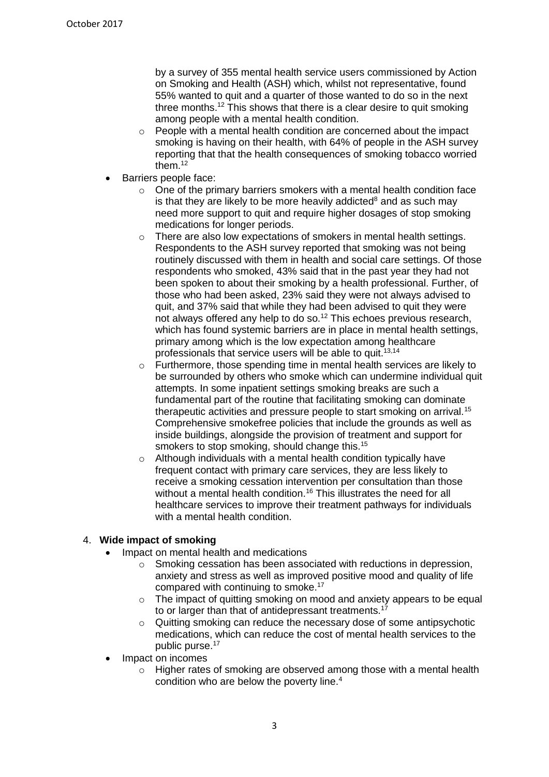<span id="page-2-0"></span>by a survey of 355 mental health service users commissioned by Action on Smoking and Health (ASH) which, whilst not representative, found 55% wanted to quit and a quarter of those wanted to do so in the next three months.<sup>12</sup> This shows that there is a clear desire to quit smoking among people with a mental health condition.

- o People with a mental health condition are concerned about the impact smoking is having on their health, with 64% of people in the ASH survey reporting that that the health consequences of smoking tobacco worried them. [12](#page-2-0)
- Barriers people face:
	- $\circ$  One of the primary barriers smokers with a mental health condition face is that they are likely to be more heavily a[d](#page-1-0)dicted<sup>8</sup> and as such may need more support to quit and require higher dosages of stop smoking medications for longer periods.
	- o There are also low expectations of smokers in mental health settings. Respondents to the ASH survey reported that smoking was not being routinely discussed with them in health and social care settings. Of those respondents who smoked, 43% said that in the past year they had not been spoken to about their smoking by a health professional. Further, of those who had been asked, 23% said they were not always advised to quit, and 37% said that while they had been advised to quit they were not always offered any help to do so.<sup>[12](#page-2-0)</sup> This echoes previous research, which has found systemic barriers are in place in mental health settings, primary among which is the low expectation among healthcare professionals that service users will be able to quit.<sup>13,14</sup>
	- o Furthermore, those spending time in mental health services are likely to be surrounded by others who smoke which can undermine individual quit attempts. In some inpatient settings smoking breaks are such a fundamental part of the routine that facilitating smoking can dominate therapeutic activities and pressure people to start smoking on arrival.<sup>15</sup> Comprehensive smokefree policies that include the grounds as well as inside buildings, alongside the provision of treatment and support for smokers to stop smoking, should change this.<sup>[15](#page-2-1)</sup>
	- o Although individuals with a mental health condition typically have frequent contact with primary care services, they are less likely to receive a smoking cessation intervention per consultation than those without a mental health condition.<sup>16</sup> This illustrates the need for all healthcare services to improve their treatment pathways for individuals with a mental health condition.

#### 4. **Wide impact of smoking**

- <span id="page-2-2"></span><span id="page-2-1"></span> Impact on mental health and medications
	- o Smoking cessation has been associated with reductions in depression, anxiety and stress as well as improved positive mood and quality of life compared with continuing to smoke.<sup>17</sup>
	- o The impact of quitting smoking on mood and anxiety appears to be equal to or larger than that of antidepressant treatments.<sup>[17](#page-2-2)</sup>
	- o Quitting smoking can reduce the necessary dose of some antipsychotic medications, which can reduce the cost of mental health services to the public purse. [17](#page-2-2)
- Impact on incomes
	- o Higher rates of smoking are observed among those with a mental health condition who are below the poverty line.[4](#page-1-2)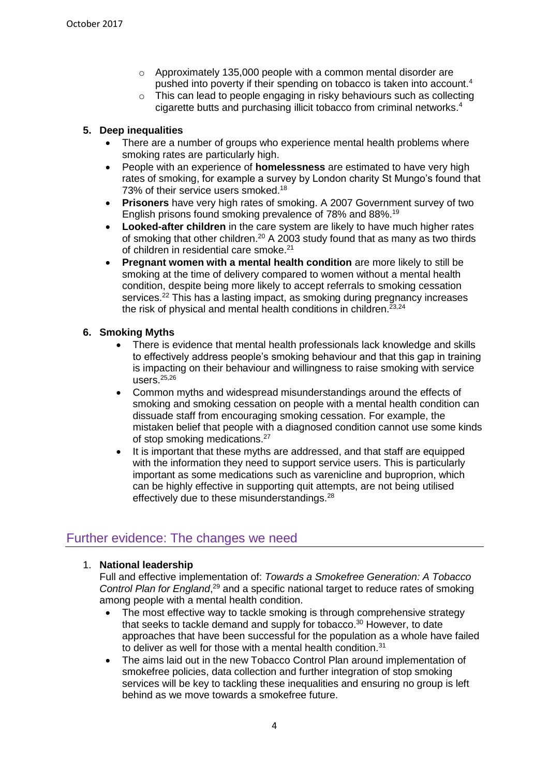- o Approximately 135,000 people with a common mental disorder are pushed into poverty if their spending on tobacco is taken into account[.](#page-1-2) 4
- o This can lead to people engaging in risky behaviours such as collecting cigarette butts and purchasing illicit tobacco from criminal networks[.](#page-1-2)<sup>4</sup>

#### **5. Deep inequalities**

- There are a number of groups who experience mental health problems where smoking rates are particularly high.
- People with an experience of **homelessness** are estimated to have very high rates of smoking, for example a survey by London charity St Mungo's found that 73% of their service users smoked.<sup>18</sup>
- **Prisoners** have very high rates of smoking. A 2007 Government survey of two English prisons found smoking prevalence of 78% and 88%.<sup>19</sup>
- **Looked-after children** in the care system are likely to have much higher rates of smoking that other children.<sup>20</sup> A 2003 study found that as many as two thirds of children in residential care smoke. 21
- **Pregnant women with a mental health condition** are more likely to still be smoking at the time of delivery compared to women without a mental health condition, despite being more likely to accept referrals to smoking cessation services.<sup>22</sup> This has a lasting impact, as smoking during pregnancy increases the risk of physical and mental health conditions in children. $^{23,24}$

#### **6. Smoking Myths**

- There is evidence that mental health professionals lack knowledge and skills to effectively address people's smoking behaviour and that this gap in training is impacting on their behaviour and willingness to raise smoking with service users. $25,26$
- Common myths and widespread misunderstandings around the effects of smoking and smoking cessation on people with a mental health condition can dissuade staff from encouraging smoking cessation. For example, the mistaken belief that people with a diagnosed condition cannot use some kinds of stop smoking medications.<sup>27</sup>
- It is important that these myths are addressed, and that staff are equipped with the information they need to support service users. This is particularly important as some medications such as varenicline and buproprion, which can be highly effective in supporting quit attempts, are not being utilised effectively due to these misunderstandings.<sup>28</sup>

# Further evidence: The changes we need

## 1. **National leadership**

Full and effective implementation of: *Towards a Smokefree Generation: A Tobacco*  Control Plan for England,<sup>29</sup> and a specific national target to reduce rates of smoking among people with a mental health condition.

- The most effective way to tackle smoking is through comprehensive strategy that seeks to tackle demand and supply for tobacco.<sup>30</sup> However, to date approaches that have been successful for the population as a whole have failed to deliver as well for those with a mental health condition.<sup>31</sup>
- The aims laid out in the new Tobacco Control Plan around implementation of smokefree policies, data collection and further integration of stop smoking services will be key to tackling these inequalities and ensuring no group is left behind as we move towards a smokefree future.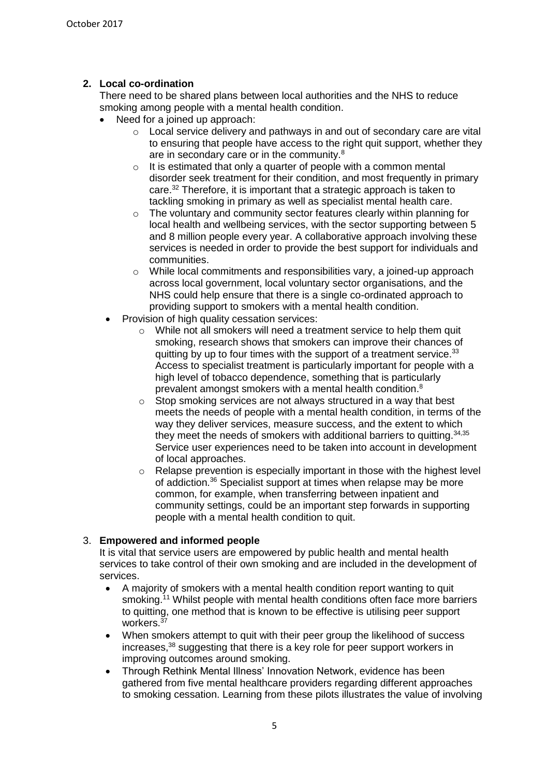## **2. Local co-ordination**

There need to be shared plans between local authorities and the NHS to reduce smoking among people with a mental health condition.

- Need for a joined up approach:
	- o Local service delivery and pathways in and out of secondary care are vital to ensuring that people have access to the right quit support, whether they are in secondary care or in the community.<sup>[8](#page-1-0)</sup>
	- $\circ$  It is estimated that only a quarter of people with a common mental disorder seek treatment for their condition, and most frequently in primary care.<sup>32</sup> Therefore, it is important that a strategic approach is taken to tackling smoking in primary as well as specialist mental health care.
	- o The voluntary and community sector features clearly within planning for local health and wellbeing services, with the sector supporting between 5 and 8 million people every year. A collaborative approach involving these services is needed in order to provide the best support for individuals and communities.
	- $\circ$  While local commitments and responsibilities vary, a joined-up approach across local government, local voluntary sector organisations, and the NHS could help ensure that there is a single co-ordinated approach to providing support to smokers with a mental health condition.
- Provision of high quality cessation services:
	- o While not all smokers will need a treatment service to help them quit smoking, research shows that smokers can improve their chances of quitting by up to four times with the support of a treatment service.<sup>33</sup> Access to specialist treatment is particularly important for people with a high level of tobacco dependence, something that is particularly prevalent amongst smokers with a mental health condition[.](#page-1-0)<sup>8</sup>
	- o Stop smoking services are not always structured in a way that best meets the needs of people with a mental health condition, in terms of the way they deliver services, measure success, and the extent to which they meet the needs of smokers with additional barriers to quitting.<sup>34,35</sup> Service user experiences need to be taken into account in development of local approaches.
	- $\circ$  Relapse prevention is especially important in those with the highest level of addiction.<sup>36</sup> Specialist support at times when relapse may be more common, for example, when transferring between inpatient and community settings, could be an important step forwards in supporting people with a mental health condition to quit.

## 3. **Empowered and informed people**

It is vital that service users are empowered by public health and mental health services to take control of their own smoking and are included in the development of services.

- A majority of smokers with a mental health condition report wanting to quit smoking.<sup>[11](#page-1-3)</sup> Whilst people with mental health conditions often face more barriers to quitting, one method that is known to be effective is utilising peer support workers.<sup>3</sup>
- When smokers attempt to quit with their peer group the likelihood of success increases,<sup>38</sup> suggesting that there is a key role for peer support workers in improving outcomes around smoking.
- Through Rethink Mental Illness' Innovation Network, evidence has been gathered from five mental healthcare providers regarding different approaches to smoking cessation. Learning from these pilots illustrates the value of involving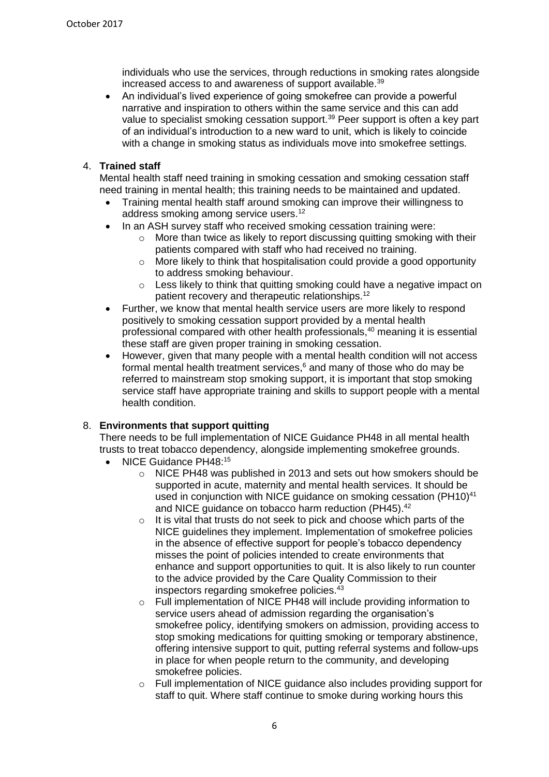<span id="page-5-0"></span>individuals who use the services, through reductions in smoking rates alongside increased access to and awareness of support available.<sup>39</sup>

 An individual's lived experience of going smokefree can provide a powerful narrative and inspiration to others within the same service and this can add value to specialist smoking cessation support.<sup>[39](#page-5-0)</sup> Peer support is often a key part of an individual's introduction to a new ward to unit, which is likely to coincide with a change in smoking status as individuals move into smokefree settings.

#### 4. **Trained staff**

Mental health staff need training in smoking cessation and smoking cessation staff need training in mental health; this training needs to be maintained and updated.

- Training mental health staff around smoking can improve their willingness to address smoking among service users.<sup>[12](#page-2-0)</sup>
- In an ASH survey staff who received smoking cessation training were:
	- o More than twice as likely to report discussing quitting smoking with their patients compared with staff who had received no training.
	- o More likely to think that hospitalisation could provide a good opportunity to address smoking behaviour.
	- o Less likely to think that quitting smoking could have a negative impact on patient recovery and therapeutic relationships.<sup>[12](#page-2-0)</sup>
- Further, we know that mental health service users are more likely to respond positively to smoking cessation support provided by a mental health professional compared with other health professionals, <sup>40</sup> meaning it is essential these staff are given proper training in smoking cessation.
- However, given that many people with a mental health condition will not access formal mental health treatment services, [6](#page-1-4) and many of those who do may be referred to mainstream stop smoking support, it is important that stop smoking service staff have appropriate training and skills to support people with a mental health condition.

#### 8. **Environments that support quitting**

There needs to be full implementation of NICE Guidance PH48 in all mental health trusts to treat tobacco dependency, alongside implementing smokefree grounds.

- <span id="page-5-1"></span>• NICE Guidance PH48:<sup>[15](#page-2-1)</sup>
	- o NICE PH48 was published in 2013 and sets out how smokers should be supported in acute, maternity and mental health services. It should be used in conjunction with NICE quidance on smoking cessation (PH10)<sup>41</sup> and NICE guidance on tobacco harm reduction (PH45). 42
	- $\circ$  It is vital that trusts do not seek to pick and choose which parts of the NICE guidelines they implement. Implementation of smokefree policies in the absence of effective support for people's tobacco dependency misses the point of policies intended to create environments that enhance and support opportunities to quit. It is also likely to run counter to the advice provided by the Care Quality Commission to their inspectors regarding smokefree policies.<sup>43</sup>
	- o Full implementation of NICE PH48 will include providing information to service users ahead of admission regarding the organisation's smokefree policy, identifying smokers on admission, providing access to stop smoking medications for quitting smoking or temporary abstinence, offering intensive support to quit, putting referral systems and follow-ups in place for when people return to the community, and developing smokefree policies.
	- $\circ$  Full implementation of NICE quidance also includes providing support for staff to quit. Where staff continue to smoke during working hours this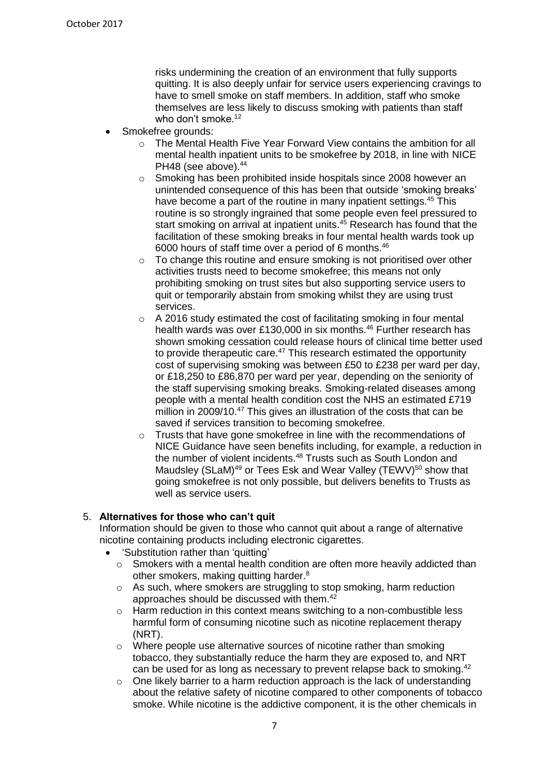<span id="page-6-1"></span><span id="page-6-0"></span>risks undermining the creation of an environment that fully supports quitting. It is also deeply unfair for service users experiencing cravings to have to smell smoke on staff members. In addition, staff who smoke themselves are less likely to discuss smoking with patients than staff who don't smoke.<sup>[12](#page-2-0)</sup>

- Smokefree grounds:
	- o The Mental Health Five Year Forward View contains the ambition for all mental health inpatient units to be smokefree by 2018, in line with NICE PH48 (see above). 44
	- o Smoking has been prohibited inside hospitals since 2008 however an unintended consequence of this has been that outside 'smoking breaks' have become a part of the routine in many inpatient settings.<sup>45</sup> This routine is so strongly ingrained that some people even feel pressured to start smoking on arrival at inpatient units.<sup>[45](#page-6-0)</sup> Research has found that the facilitation of these smoking breaks in four mental health wards took up 6000 hours of staff time over a period of 6 months.<sup>46</sup>
	- o To change this routine and ensure smoking is not prioritised over other activities trusts need to become smokefree; this means not only prohibiting smoking on trust sites but also supporting service users to quit or temporarily abstain from smoking whilst they are using trust services.
	- o A 2016 study estimated the cost of facilitating smoking in four mental health wards was over £130,000 in six months.<sup>[46](#page-6-1)</sup> Further research has shown smoking cessation could release hours of clinical time better used to provide therapeutic care.<sup>47</sup> This research estimated the opportunity cost of supervising smoking was between £50 to £238 per ward per day, or £18,250 to £86,870 per ward per year, depending on the seniority of the staff supervising smoking breaks. Smoking-related diseases among people with a mental health condition cost the NHS an estimated £719 million in 2009/10.<sup>[47](#page-6-2)</sup> This gives an illustration of the costs that can be saved if services transition to becoming smokefree.
	- o Trusts that have gone smokefree in line with the recommendations of NICE Guidance have seen benefits including, for example, a reduction in the number of violent incidents.<sup>48</sup> Trusts such as South London and Maudsley (SLaM)<sup>49</sup> or Tees Esk and Wear Valley (TEWV)<sup>50</sup> show that going smokefree is not only possible, but delivers benefits to Trusts as well as service users.

#### 5. **Alternatives for those who can't quit**

<span id="page-6-2"></span>Information should be given to those who cannot quit about a range of alternative nicotine containing products including electronic cigarettes.

- 'Substitution rather than 'quitting'
	- o Smokers with a mental health condition are often more heavily addicted than other smokers, making quitting harder[.](#page-1-0)<sup>8</sup>
	- o As such, where smokers are struggling to stop smoking, harm reduction approaches should be discussed with them.[42](#page-5-1)
	- $\circ$  Harm reduction in this context means switching to a non-combustible less harmful form of consuming nicotine such as nicotine replacement therapy (NRT).
	- o Where people use alternative sources of nicotine rather than smoking tobacco, they substantially reduce the harm they are exposed to, and NRT can be used for as long as necessary to prevent relapse back to smoking.<sup>[42](#page-5-1)</sup>
	- $\circ$  One likely barrier to a harm reduction approach is the lack of understanding about the relative safety of nicotine compared to other components of tobacco smoke. While nicotine is the addictive component, it is the other chemicals in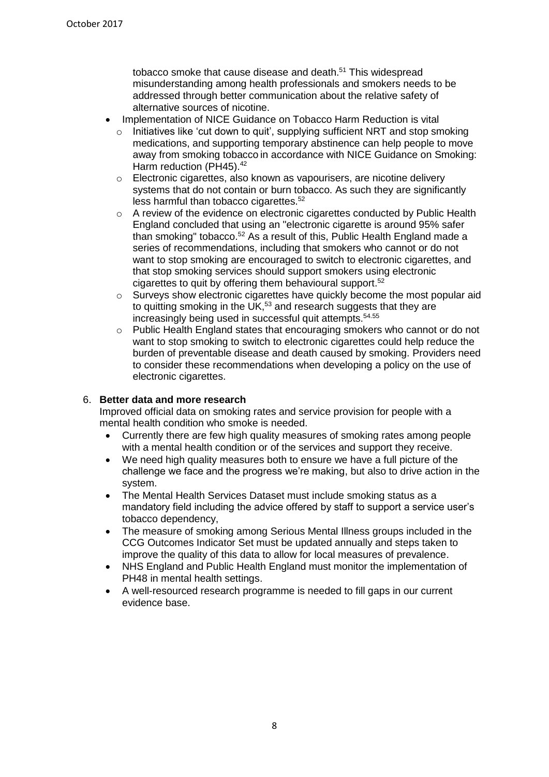tobacco smoke that cause disease and death. <sup>51</sup> This widespread misunderstanding among health professionals and smokers needs to be addressed through better communication about the relative safety of alternative sources of nicotine.

- <span id="page-7-0"></span> Implementation of NICE Guidance on Tobacco Harm Reduction is vital
	- Initiatives like 'cut down to quit', supplying sufficient NRT and stop smoking medications, and supporting temporary abstinence can help people to move away from smoking tobacco in accordance with NICE Guidance on Smoking: Harm reduction (PH45).<sup>[42](#page-5-1)</sup>
	- o Electronic cigarettes, also known as vapourisers, are nicotine delivery systems that do not contain or burn tobacco. As such they are significantly less harmful than tobacco cigarettes.<sup>52</sup>
	- o A review of the evidence on electronic cigarettes conducted by Public Health England concluded that using an "electronic cigarette is around 95% safer than smoking" tobacco.<sup>[52](#page-7-0)</sup> As a result of this, Public Health England made a series of recommendations, including that smokers who cannot or do not want to stop smoking are encouraged to switch to electronic cigarettes, and that stop smoking services should support smokers using electronic cigarettes to quit by offering them behavioural support. [52](#page-7-0)
	- $\circ$  Surveys show electronic cigarettes have quickly become the most popular aid to quitting smoking in the UK,<sup>53</sup> and research suggests that they are increasingly being used in successful quit attempts.54.55
	- o Public Health England states that encouraging smokers who cannot or do not want to stop smoking to switch to electronic cigarettes could help reduce the burden of preventable disease and death caused by smoking. Providers need to consider these recommendations when developing a policy on the use of electronic cigarettes.

#### 6. **Better data and more research**

Improved official data on smoking rates and service provision for people with a mental health condition who smoke is needed.

- Currently there are few high quality measures of smoking rates among people with a mental health condition or of the services and support they receive.
- We need high quality measures both to ensure we have a full picture of the challenge we face and the progress we're making, but also to drive action in the system.
- The Mental Health Services Dataset must include smoking status as a mandatory field including the advice offered by staff to support a service user's tobacco dependency,
- The measure of smoking among Serious Mental Illness groups included in the CCG Outcomes Indicator Set must be updated annually and steps taken to improve the quality of this data to allow for local measures of prevalence.
- NHS England and Public Health England must monitor the implementation of PH48 in mental health settings.
- A well-resourced research programme is needed to fill gaps in our current evidence base.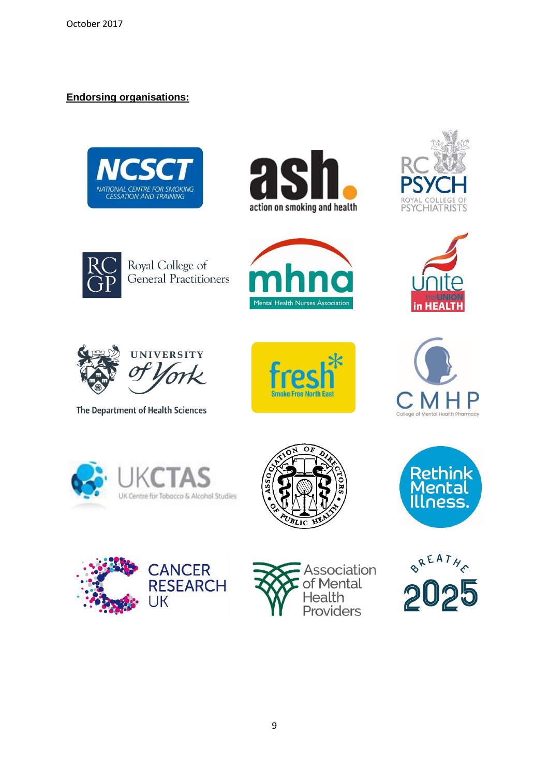# **Endorsing organisations:**















The Department of Health Sciences















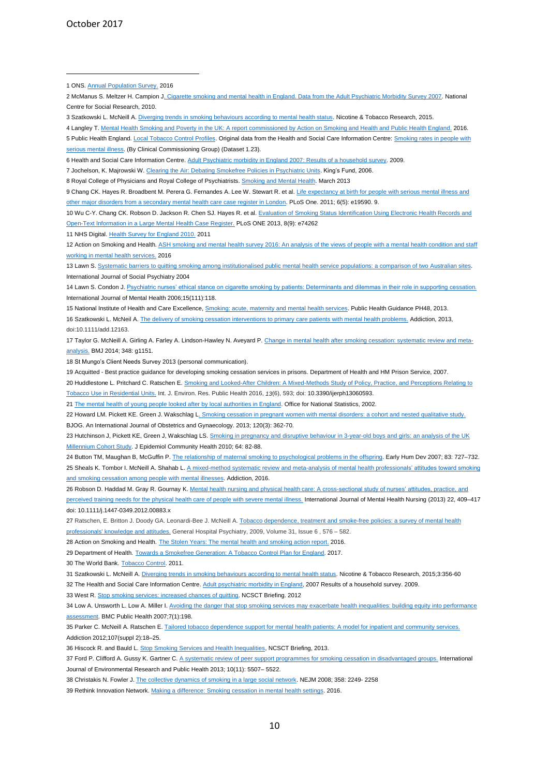October 2017

1

10 Wu C-Y. Chang CK. Robson D. Jackson R. Chen SJ. Hayes R. et al[. Evaluation of Smoking Status Identification Using Electronic Health Records and](http://journals.plos.org/plosone/article?id=10.1371/journal.pone.0074262)  [Open-Text Information in a Large Mental Health Case Register.](http://journals.plos.org/plosone/article?id=10.1371/journal.pone.0074262) PLoS ONE 2013, 8(9): e74262

11 NHS Digital. [Health Survey for England 2010.](http://content.digital.nhs.uk/pubs/hse10report) 2011

12 Action on Smoking and Health. ASH smoking and mental health survey 2016: An analysis of the views of people with a mental health condition and staff [working in mental health services.](http://ash.org.uk/download/ash-survey-of-people-with-mental-health-conditions/) 2016

14 Lawn S. Condon J. [Psychiatric nurses' ethical stance on cigarette smoking by patients: Determinants and dilemmas in their role in supporting cessation.](https://www.ncbi.nlm.nih.gov/pubmed/16643346) International Journal of Mental Health 2006;15(111):118.

15 National Institute of Health and Care Excellence[, Smoking: acute, maternity and mental health services.](https://www.nice.org.uk/guidance/ph48) Public Health Guidance PH48, 2013.

16 Szatkowski L. McNeil A[. The delivery of smoking cessation interventions to primary care patients with mental health problems.](https://www.ncbi.nlm.nih.gov/pubmed/23534846) Addiction, 2013, doi:10.1111/add.12163.

17 Taylor G. McNeill A. Girling A. Farley A. Lindson-Hawley N. Aveyard P. [Change in mental health after smoking cessation: systematic review and meta](https://www.ncbi.nlm.nih.gov/pmc/articles/PMC3923980/)[analysis.](https://www.ncbi.nlm.nih.gov/pmc/articles/PMC3923980/) BMJ 2014; 348: g1151.

18 St Mungo's Client Needs Survey 2013 (personal communication).

19 Acquitted - Best practice guidance for developing smoking cessation services in prisons. Department of Health and HM Prison Service, 2007.

20 Huddlestone L. Pritchard C. Ratschen E. [Smoking and Looked-After Children: A Mixed-Methods Study of Policy, Practice, and Perceptions Relating to](https://www.ncbi.nlm.nih.gov/pmc/articles/PMC4924050/)  dential Units. Int. J. Environ. Res. Public Health 2016, *13*(6), 593; doi: 10.3390/ijerph13060593.

21 [The mental health of young people looked after by local authorities in England.](https://www.google.co.uk/url?sa=t&rct=j&q=&esrc=s&source=web&cd=1&cad=rja&uact=8&ved=0ahUKEwjllvaw_tvVAhUHIcAKHTnkB1sQFggoMAA&url=https%3A%2F%2Fwww.ons.gov.uk%2Fons%2Frel%2Fpsychiatric-morbidity%2Fmental-health-of-young-people-looked-after-by-local-authorities%2F2002-survey%2Fmental-health-of-young-people-looked-after-by-local-authorities-in-england.pdf&usg=AFQjCNFF8PX_ZXgIq9ETBzGJo6S8ksfdpA) Office for National Statistics, 2002.

22 Howard LM. Pickett KE. Green J. Wakschlag [L. Smoking cessation in pregnant women with mental disorders: a cohort and nested qualitative study.](https://www.ncbi.nlm.nih.gov/pubmed/19887578) BJOG. An International Journal of Obstetrics and Gynaecology. 2013; 120(3): 362-70.

23 Hutchinson J, Pickett KE, Green J, Wakschlag LS[. Smoking in pregnancy and disruptive behaviour in 3-year-old](https://www.ncbi.nlm.nih.gov/pubmed/19887578) boys and girls: an analysis of the UK [Millennium Cohort Study.](https://www.ncbi.nlm.nih.gov/pubmed/19887578) J Epidemiol Community Health 2010; 64: 82-88.

24 Button TM, Maughan B, McGuffin P[. The relationship of maternal smoking to psychological problems in the offspring.](https://www.ncbi.nlm.nih.gov/pubmed/17888593) Early Hum Dev 2007; 83: 727-732. 25 Sheals K. Tombor I. McNeill A. Shahab L. A mixed-method systematic review and meta-analysis of mental health professionals' attitudes toward smoking [and smoking cessation among people with mental illnesses.](https://www.ncbi.nlm.nih.gov/pmc/articles/PMC5025720/) Addiction, 2016.

26 Robson D. Haddad M. Gray R. Gournay K[. Mental health nursing and physical health care:](http://openaccess.city.ac.uk/4800/) A cross-sectional study of nurses' attitudes, practice, and [perceived training needs for the physical health care of people with severe mental illness.](http://openaccess.city.ac.uk/4800/) International Journal of Mental Health Nursing (2013) 22, 409-417 doi: 10.1111/j.1447-0349.2012.00883.x

27 Ratschen, E. Britton J. Doody GA. Leonardi-Bee J. McNeill A. Tobacco dependence, treatment and smoke-free policies: a survey of mental health [professionals' knowledge and attitudes.](https://www.ncbi.nlm.nih.gov/pubmed/19892217) General Hospital Psychiatry, 2009, Volume 31, Issue 6 , 576 – 582.

28 Action on Smoking and Health. [The Stolen Years: The mental health and smoking action report.](http://ash.org.uk/information-and-resources/reports-submissions/reports/the-stolen-years/) 2016.

29 Department of Health. [Towards a Smokefree Generation: A Tobacco Control Plan for England.](https://www.gov.uk/government/uploads/system/uploads/attachment_data/file/630217/Towards_a_Smoke_free_Generation_-_A_Tobacco_Control_Plan_for_England_2017-2022__2_.pdf) 2017.

30 The World Bank. [Tobacco Control.](http://siteresources.worldbank.org/INTPH/Resources/376086-1238076532997/TobaccoControl2010Nov15.pdf) 2011.

31 Szatkowski L. McNeill A[. Diverging trends in smoking behaviours according to mental health status.](https://academic.oup.com/ntr/article-abstract/17/3/356/2858007/Diverging-Trends-in-Smoking-Behaviors-According-to?redirectedFrom=fulltext) Nicotine & Tobacco Research, 2015;3:356-60 32 The Health and Social Care Information Centre[. Adult psychiatric morbidity in England,](http://content.digital.nhs.uk/catalogue/PUB02931/adul-psyc-morb-res-hou-sur-eng-2007-rep.pdf) 2007 Results of a household survey. 2009.

33 West R[. Stop smoking services: increased chances of quitting.](http://www.ncsct.co.uk/usr/pub/Briefing%208.pdf) NCSCT Briefing. 2012

34 Low A. Unsworth L. Low A. Miller I. Avoiding the danger that stop smoking services may exacerbate health inequalities: building equity into performance [assessment.](https://bmcpublichealth.biomedcentral.com/articles/10.1186/1471-2458-7-198) BMC Public Health 2007;7(1):198.

35 Parker C. McNeill A. Ratschen E[. Tailored tobacco dependence support for mental health patients: A model for inpatient and community services.](https://www.ncbi.nlm.nih.gov/pubmed/23121356) Addiction 2012;107(suppl 2):18–25.

36 Hiscock R. and Bauld L[. Stop Smoking Services and Health Inequalities,](http://www.ncsct.co.uk/usr/pub/NCSCT_briefing_effect_of_SSS_on_health_inequalities.pdf) NCSCT Briefing, 2013.

37 Ford P. Clifford A. Gussy K. Gartner C. A [systematic review of peer support programmes for smoking cessation in disadvantaged groups.](http://www.mdpi.com/1660-4601/10/11/5507) International Journal of Environmental Research and Public Health 2013; 10(11): 5507– 5522.

38 Christakis N. Fowler J[. The collective dynamics of smoking in a large social network.](http://www.nejm.org/doi/full/10.1056/NEJMsa0706154#t=article) NEJM 2008; 358: 2249- 2258

39 Rethink Innovation Network. [Making a difference: Smoking cessation in mental health settings.](https://www.rethink.org/media/2317675/innovation-sc-final.pdf) 2016.

<sup>1</sup> ONS. [Annual Population Survey.](https://www.nomisweb.co.uk/articles/932.aspx) 2016

<sup>2</sup> McManus S. Meltzer H. Campion [J. Cigarette smoking and mental health in England. Data from the Adult Psychiatric Morbidity Survey 2007.](http://www.natcen.ac.uk/media/21994/smoking-mental-health.pdf) National Centre for Social Research, 2010.

<sup>3</sup> Szatkowski L. McNeill A[. Diverging trends in smoking behaviours according to mental health status.](https://academic.oup.com/ntr/article-abstract/17/3/356/2858007/Diverging-Trends-in-Smoking-Behaviors-According-to?redirectedFrom=fulltext) Nicotine & Tobacco Research, 2015.

<sup>4</sup> Langley T[. Mental Health Smoking and Poverty in the UK: A report commissioned by Action on Smoking and Health and Public Health England.](http://ash.org.uk/download/mental-health-smoking-and-poverty-in-the-uk/) 2016.

<sup>5</sup> Public Health England. [Local Tobacco Control Profiles.](http://www.tobaccoprofiles.info/) Original data from the Health and Social Care Information Centre[: Smoking rates in people with](https://indicators.hscic.gov.uk/webview/)  [serious mental illness.](https://indicators.hscic.gov.uk/webview/) (By Clinical Commissioning Group) (Dataset 1.23).

<sup>6</sup> Health and Social Care Information Centre. [Adult Psychiatric morbidity in England 2007: Results of a household survey.](http://content.digital.nhs.uk/catalogue/PUB02931/adul-psyc-morb-res-hou-sur-eng-2007-rep.pdf) 2009.

<sup>7</sup> Jochelson, K. Majrowski W[. Clearing the Air: Debating Smokefree Policies in Psychiatric Units.](https://www.kingsfund.org.uk/publications/clearing-air) King's Fund, 2006.

<sup>8</sup> Royal College of Physicians and Royal College of Psychiatrists. **Smoking and Mental Health**. March 2013

<sup>9</sup> Chang CK. Hayes R. Broadbent M. Perera G. Fernandes A. Lee W. Stewart R. et al. Life expectancy at birth for people with serious mental illness and [other major disorders from a secondary mental health care case register in London.](http://journals.plos.org/plosone/article?id=10.1371/journal.pone.0019590) PLoS One. 2011; 6(5): e19590. 9.

<sup>13</sup> Lawn S[. Systematic barriers to quitting smoking among institutionalised public mental health service populations: a comparison of two](https://www.ncbi.nlm.nih.gov/pubmed/15511114) Australian sites. International Journal of Social Psychiatry 2004